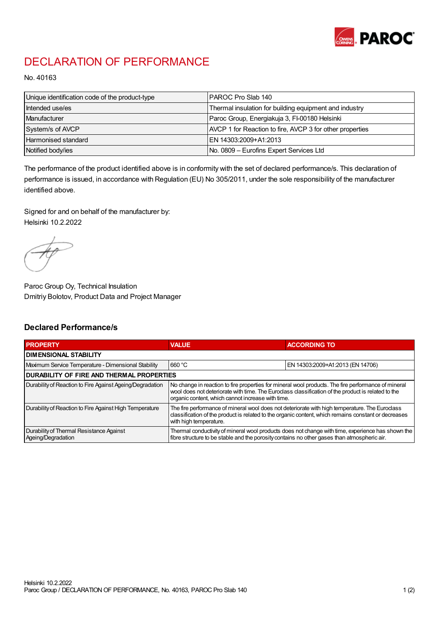

## DECLARATION OF PERFORMANCE

No. 40163

| Unique identification code of the product-type | IPAROC Pro Slab 140                                      |
|------------------------------------------------|----------------------------------------------------------|
| Intended use/es                                | Thermal insulation for building equipment and industry   |
| Manufacturer                                   | Paroc Group, Energiakuja 3, FI-00180 Helsinki            |
| System/s of AVCP                               | AVCP 1 for Reaction to fire, AVCP 3 for other properties |
| Harmonised standard                            | IEN 14303:2009+A1:2013                                   |
| Notified body/ies                              | No. 0809 - Eurofins Expert Services Ltd                  |

The performance of the product identified above is in conformity with the set of declared performance/s. This declaration of performance is issued, in accordance with Regulation (EU) No 305/2011, under the sole responsibility of the manufacturer identified above.

Signed for and on behalf of the manufacturer by: Helsinki 10.2.2022

Paroc Group Oy, Technical Insulation Dmitriy Bolotov, Product Data and Project Manager

## Declared Performance/s

| <b>PROPERTY</b>                                                | <b>VALUE</b>                                                                                                                                                                                                                                                   | <b>ACCORDING TO.</b>             |  |
|----------------------------------------------------------------|----------------------------------------------------------------------------------------------------------------------------------------------------------------------------------------------------------------------------------------------------------------|----------------------------------|--|
| <b>DIMENSIONAL STABILITY</b>                                   |                                                                                                                                                                                                                                                                |                                  |  |
| Maximum Service Temperature - Dimensional Stability            | 660 °C                                                                                                                                                                                                                                                         | EN 14303:2009+A1:2013 (EN 14706) |  |
| <b>DURABILITY OF FIRE AND THERMAL PROPERTIES</b>               |                                                                                                                                                                                                                                                                |                                  |  |
| Durability of Reaction to Fire Against Ageing/Degradation      | No change in reaction to fire properties for mineral wool products. The fire performance of mineral<br>wool does not deteriorate with time. The Euroclass classification of the product is related to the<br>organic content, which cannot increase with time. |                                  |  |
| Durability of Reaction to Fire Against High Temperature        | The fire performance of mineral wool does not deteriorate with high temperature. The Euroclass<br>classification of the product is related to the organic content, which remains constant or decreases<br>with high temperature.                               |                                  |  |
| Durability of Thermal Resistance Against<br>Ageing/Degradation | Thermal conductivity of mineral wool products does not change with time, experience has shown the<br>fibre structure to be stable and the porosity contains no other gases than atmospheric air.                                                               |                                  |  |